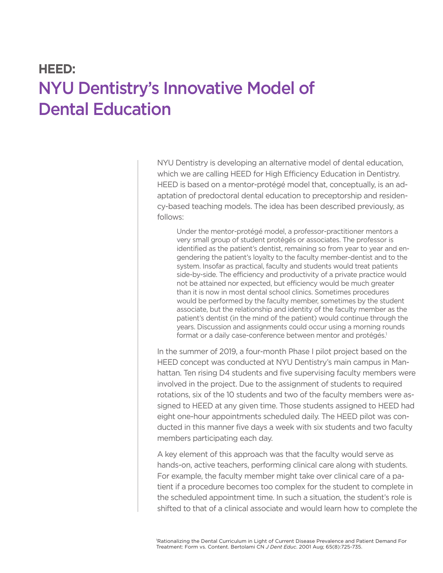## **HEED:**  NYU Dentistry's Innovative Model of Dental Education

NYU Dentistry is developing an alternative model of dental education, which we are calling HEED for High Efficiency Education in Dentistry. HEED is based on a mentor-protégé model that, conceptually, is an adaptation of predoctoral dental education to preceptorship and residency-based teaching models. The idea has been described previously, as follows:

Under the mentor-protégé model, a professor-practitioner mentors a very small group of student protégés or associates. The professor is identified as the patient's dentist, remaining so from year to year and engendering the patient's loyalty to the faculty member-dentist and to the system. Insofar as practical, faculty and students would treat patients side-by-side. The efficiency and productivity of a private practice would not be attained nor expected, but efficiency would be much greater than it is now in most dental school clinics. Sometimes procedures would be performed by the faculty member, sometimes by the student associate, but the relationship and identity of the faculty member as the patient's dentist (in the mind of the patient) would continue through the years. Discussion and assignments could occur using a morning rounds format or a daily case-conference between mentor and protégés.<sup>1</sup>

In the summer of 2019, a four-month Phase I pilot project based on the HEED concept was conducted at NYU Dentistry's main campus in Manhattan. Ten rising D4 students and five supervising faculty members were involved in the project. Due to the assignment of students to required rotations, six of the 10 students and two of the faculty members were assigned to HEED at any given time. Those students assigned to HEED had eight one-hour appointments scheduled daily. The HEED pilot was conducted in this manner five days a week with six students and two faculty members participating each day.

A key element of this approach was that the faculty would serve as hands-on, active teachers, performing clinical care along with students. For example, the faculty member might take over clinical care of a patient if a procedure becomes too complex for the student to complete in the scheduled appointment time. In such a situation, the student's role is shifted to that of a clinical associate and would learn how to complete the